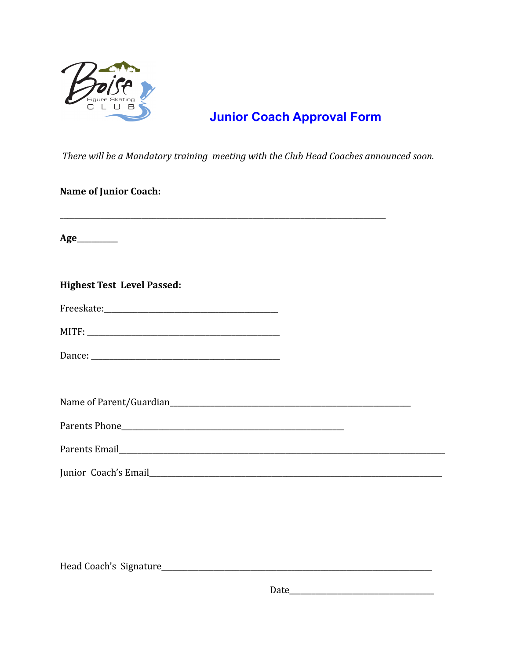

## **Junior Coach Approval Form**

There will be a Mandatory training meeting with the Club Head Coaches announced soon.

## Name of Junior Coach:

| <b>Highest Test Level Passed:</b> |  |
|-----------------------------------|--|
|                                   |  |
|                                   |  |
|                                   |  |
|                                   |  |
|                                   |  |
|                                   |  |
|                                   |  |
|                                   |  |
|                                   |  |